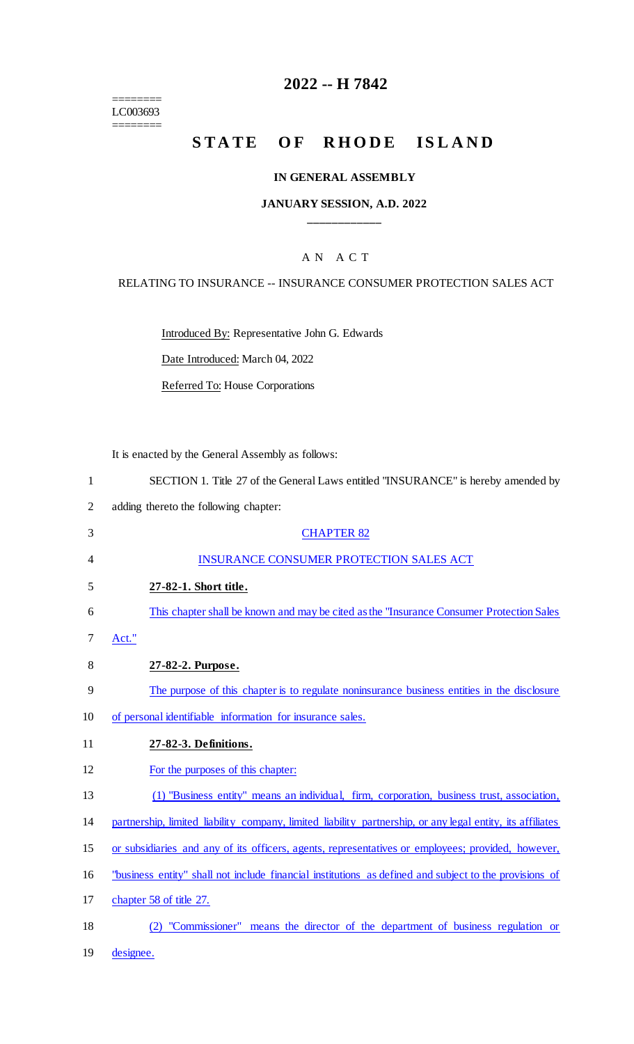======== LC003693 ========

# **2022 -- H 7842**

# **STATE OF RHODE ISLAND**

#### **IN GENERAL ASSEMBLY**

### **JANUARY SESSION, A.D. 2022 \_\_\_\_\_\_\_\_\_\_\_\_**

## A N A C T

#### RELATING TO INSURANCE -- INSURANCE CONSUMER PROTECTION SALES ACT

Introduced By: Representative John G. Edwards

Date Introduced: March 04, 2022

Referred To: House Corporations

It is enacted by the General Assembly as follows:

3 CHAPTER 82

| SECTION 1. Title 27 of the General Laws entitled "INSURANCE" is hereby amended by |
|-----------------------------------------------------------------------------------|
| adding thereto the following chapter:                                             |

| 4  | <b>INSURANCE CONSUMER PROTECTION SALES ACT</b>                                                             |
|----|------------------------------------------------------------------------------------------------------------|
| 5  | 27-82-1. Short title.                                                                                      |
| 6  | This chapter shall be known and may be cited as the "Insurance Consumer Protection Sales"                  |
| 7  | Act."                                                                                                      |
| 8  | 27-82-2. Purpose.                                                                                          |
| 9  | The purpose of this chapter is to regulate noninsurance business entities in the disclosure                |
| 10 | of personal identifiable information for insurance sales.                                                  |
| 11 | 27-82-3. Definitions.                                                                                      |
| 12 | For the purposes of this chapter:                                                                          |
| 13 | (1) "Business entity" means an individual, firm, corporation, business trust, association,                 |
| 14 | partnership, limited liability company, limited liability partnership, or any legal entity, its affiliates |
| 15 | or subsidiaries and any of its officers, agents, representatives or employees; provided, however,          |
| 16 | "business entity" shall not include financial institutions as defined and subject to the provisions of     |
| 17 | chapter 58 of title 27.                                                                                    |
| 18 | "Commissioner" means the director of the department of business regulation or                              |

19 designee.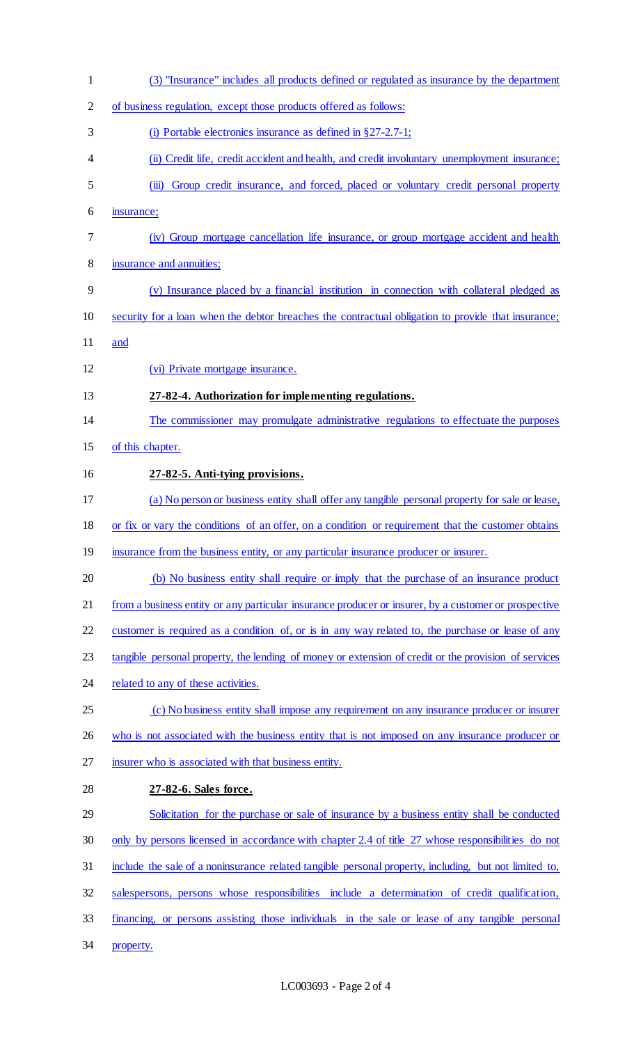(3) "Insurance" includes all products defined or regulated as insurance by the department of business regulation, except those products offered as follows: (i) Portable electronics insurance as defined in §27-2.7-1; (ii) Credit life, credit accident and health, and credit involuntary unemployment insurance; (iii) Group credit insurance, and forced, placed or voluntary credit personal property insurance; (iv) Group mortgage cancellation life insurance, or group mortgage accident and health insurance and annuities; (v) Insurance placed by a financial institution in connection with collateral pledged as security for a loan when the debtor breaches the contractual obligation to provide that insurance; and (vi) Private mortgage insurance. **27-82-4. Authorization for implementing regulations.** The commissioner may promulgate administrative regulations to effectuate the purposes of this chapter. **27-82-5. Anti-tying provisions.** (a) No person or business entity shall offer any tangible personal property for sale or lease, 18 or fix or vary the conditions of an offer, on a condition or requirement that the customer obtains 19 insurance from the business entity, or any particular insurance producer or insurer. (b) No business entity shall require or imply that the purchase of an insurance product from a business entity or any particular insurance producer or insurer, by a customer or prospective customer is required as a condition of, or is in any way related to, the purchase or lease of any tangible personal property, the lending of money or extension of credit or the provision of services 24 related to any of these activities. 25 (c) No business entity shall impose any requirement on any insurance producer or insurer 26 who is not associated with the business entity that is not imposed on any insurance producer or insurer who is associated with that business entity. **27-82-6. Sales force.** Solicitation for the purchase or sale of insurance by a business entity shall be conducted only by persons licensed in accordance with chapter 2.4 of title 27 whose responsibilities do not include the sale of a noninsurance related tangible personal property, including, but not limited to, salespersons, persons whose responsibilities include a determination of credit qualification, financing, or persons assisting those individuals in the sale or lease of any tangible personal property.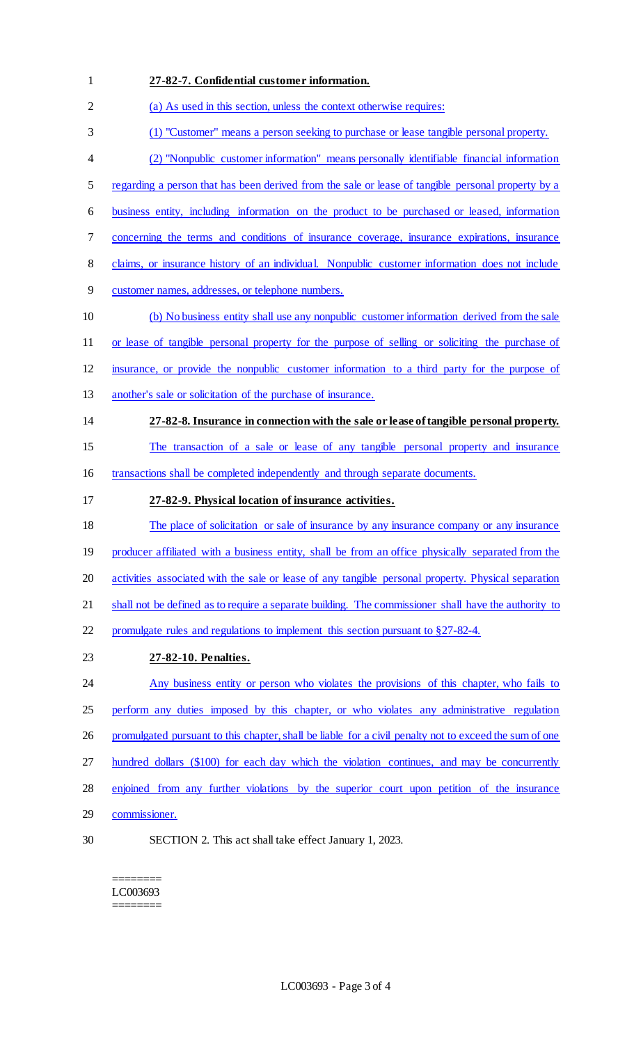| $\mathbf{1}$             | 27-82-7. Confidential customer information.                                                            |
|--------------------------|--------------------------------------------------------------------------------------------------------|
| $\overline{2}$           | (a) As used in this section, unless the context otherwise requires:                                    |
| 3                        | (1) "Customer" means a person seeking to purchase or lease tangible personal property.                 |
| $\overline{\mathcal{A}}$ | (2) "Nonpublic customer information" means personally identifiable financial information               |
| 5                        | regarding a person that has been derived from the sale or lease of tangible personal property by a     |
| 6                        | business entity, including information on the product to be purchased or leased, information           |
| 7                        | concerning the terms and conditions of insurance coverage, insurance expirations, insurance            |
| $8\,$                    | claims, or insurance history of an individual. Nonpublic customer information does not include         |
| $\overline{9}$           | customer names, addresses, or telephone numbers.                                                       |
| 10                       | (b) No business entity shall use any nonpublic customer information derived from the sale              |
| 11                       | or lease of tangible personal property for the purpose of selling or soliciting the purchase of        |
| 12                       | insurance, or provide the nonpublic customer information to a third party for the purpose of           |
| 13                       | another's sale or solicitation of the purchase of insurance.                                           |
| 14                       | 27-82-8. Insurance in connection with the sale or lease of tangible personal property.                 |
| 15                       | The transaction of a sale or lease of any tangible personal property and insurance                     |
| 16                       | transactions shall be completed independently and through separate documents.                          |
| 17                       | 27-82-9. Physical location of insurance activities.                                                    |
| 18                       | The place of solicitation or sale of insurance by any insurance company or any insurance               |
| 19                       | producer affiliated with a business entity, shall be from an office physically separated from the      |
| 20                       | activities associated with the sale or lease of any tangible personal property. Physical separation    |
| 21                       | shall not be defined as to require a separate building. The commissioner shall have the authority to   |
| 22                       | promulgate rules and regulations to implement this section pursuant to §27-82-4.                       |
| 23                       | 27-82-10. Penalties.                                                                                   |
| 24                       | Any business entity or person who violates the provisions of this chapter, who fails to                |
| 25                       | perform any duties imposed by this chapter, or who violates any administrative regulation              |
| 26                       | promulgated pursuant to this chapter, shall be liable for a civil penalty not to exceed the sum of one |
| 27                       | hundred dollars (\$100) for each day which the violation continues, and may be concurrently            |
| 28                       | enjoined from any further violations by the superior court upon petition of the insurance              |
| 29                       | commissioner.                                                                                          |
| 30                       | SECTION 2. This act shall take effect January 1, 2023.                                                 |

======== LC003693  $=$